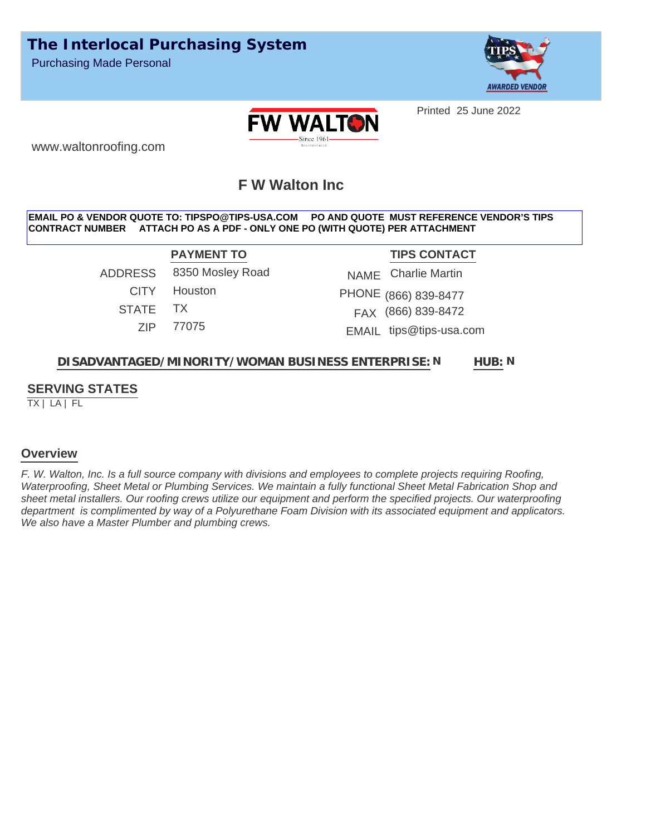

Printed 25 June 2022



www.waltonroofing.com

# **F W Walton Inc**

#### **EMAIL PO & VENDOR QUOTE TO: TIPSPO@TIPS-USA.COM PO AND QUOTE MUST REFERENCE VENDOR'S TIPS CONTRACT NUMBER ATTACH PO AS A PDF - ONLY ONE PO (WITH QUOTE) PER ATTACHMENT**

ADDRESS 8350 Mosley Road CITY Houston STATE TX ZIP 77075

**PAYMENT TO TIPS CONTACT** (866) 839-8477 PHONE FAX (866) 839-8472 NAME Charlie Martin EMAIL tips@tips-usa.com

#### **DISADVANTAGED/MINORITY/WOMAN BUSINESS ENTERPRISE: HUB: HUB**: N

### **SERVING STATES**

TX | LA | FL

#### **Overview**

*F. W. Walton, Inc. Is a full source company with divisions and employees to complete projects requiring Roofing, Waterproofing, Sheet Metal or Plumbing Services. We maintain a fully functional Sheet Metal Fabrication Shop and sheet metal installers. Our roofing crews utilize our equipment and perform the specified projects. Our waterproofing department is complimented by way of a Polyurethane Foam Division with its associated equipment and applicators. We also have a Master Plumber and plumbing crews.*